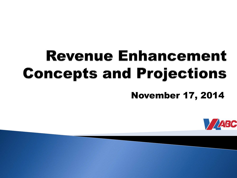# **Revenue Enhancement Concepts and Projections**

November 17, 2014

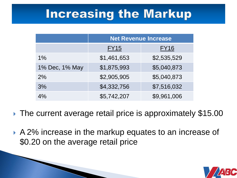## **Increasing the Markup**

|                | <b>Net Revenue Increase</b> |             |
|----------------|-----------------------------|-------------|
|                | <b>FY15</b>                 | <b>FY16</b> |
| $1\%$          | \$1,461,653                 | \$2,535,529 |
| 1% Dec, 1% May | \$1,875,993                 | \$5,040,873 |
| 2%             | \$2,905,905                 | \$5,040,873 |
| 3%             | \$4,332,756                 | \$7,516,032 |
| 4%             | \$5,742,207                 | \$9,961,006 |

- ▶ The current average retail price is approximately \$15.00
- A 2% increase in the markup equates to an increase of \$0.20 on the average retail price

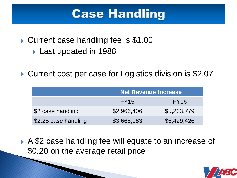### **Case Handling**

- ▶ Current case handling fee is \$1.00
	- ▶ Last updated in 1988
- ▶ Current cost per case for Logistics division is \$2.07

|                      | <b>Net Revenue Increase</b> |                  |
|----------------------|-----------------------------|------------------|
|                      | <b>FY15</b>                 | FY <sub>16</sub> |
| \$2 case handling    | \$2,966,406                 | \$5,203,779      |
| \$2.25 case handling | \$3,665,083                 | \$6,429,426      |

▶ A \$2 case handling fee will equate to an increase of \$0.20 on the average retail price

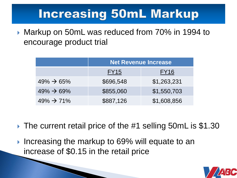## **Increasing 50mL Markup**

▶ Markup on 50mL was reduced from 70% in 1994 to encourage product trial

|                         | <b>Net Revenue Increase</b> |             |
|-------------------------|-----------------------------|-------------|
|                         | <b>FY15</b>                 | <b>FY16</b> |
| $49\% \rightarrow 65\%$ | \$696,548                   | \$1,263,231 |
| $49\% \rightarrow 69\%$ | \$855,060                   | \$1,550,703 |
| $49\% \rightarrow 71\%$ | \$887,126                   | \$1,608,856 |

- ▶ The current retail price of the #1 selling 50mL is \$1.30
- Increasing the markup to 69% will equate to an increase of \$0.15 in the retail price

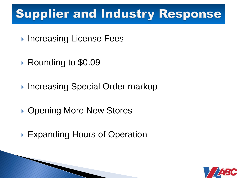# **Supplier and Industry Response**

- ▶ Increasing License Fees
- ▶ Rounding to \$0.09
- ▶ Increasing Special Order markup
- ▶ Opening More New Stores
- ▶ Expanding Hours of Operation

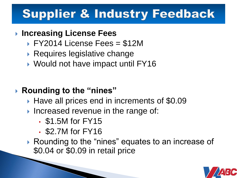### **Increasing License Fees**

- FY2014 License Fees = \$12M
- ▶ Requires legislative change
- ▶ Would not have impact until FY16

### **Rounding to the "nines"**

- ▶ Have all prices end in increments of \$0.09
- Increased revenue in the range of:
	- \$1.5M for FY15
	- \$2.7M for FY16

▶ Rounding to the "nines" equates to an increase of \$0.04 or \$0.09 in retail price

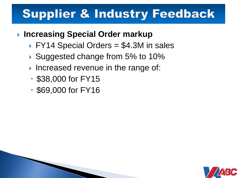### **Increasing Special Order markup**

- $\triangleright$  FY14 Special Orders = \$4.3M in sales
- ▶ Suggested change from 5% to 10%
- Increased revenue in the range of:
- **\$38,000 for FY15**
- \$69,000 for FY16

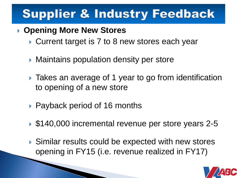### **Opening More New Stores**

- ▶ Current target is 7 to 8 new stores each year
- ▶ Maintains population density per store
- ▶ Takes an average of 1 year to go from identification to opening of a new store
- ▶ Payback period of 16 months
- ▶ \$140,000 incremental revenue per store years 2-5
- ▶ Similar results could be expected with new stores opening in FY15 (i.e. revenue realized in FY17)

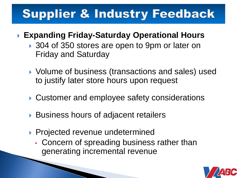### **Expanding Friday-Saturday Operational Hours**

- ▶ 304 of 350 stores are open to 9pm or later on Friday and Saturday
- ▶ Volume of business (transactions and sales) used to justify later store hours upon request
- ▶ Customer and employee safety considerations
- ▶ Business hours of adjacent retailers
- **Projected revenue undetermined** 
	- Concern of spreading business rather than generating incremental revenue

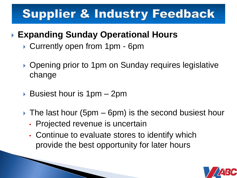### **Expanding Sunday Operational Hours**

- ▶ Currently open from 1pm 6pm
- ▶ Opening prior to 1pm on Sunday requires legislative change
- ▶ Busiest hour is 1pm 2pm
- $\triangleright$  The last hour (5pm 6pm) is the second busiest hour
	- Projected revenue is uncertain
	- Continue to evaluate stores to identify which provide the best opportunity for later hours

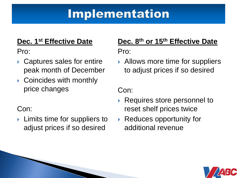### **Implementation**

#### **Dec. 1st Effective Date**

Pro:

- ▶ Captures sales for entire peak month of December
- ▶ Coincides with monthly price changes

#### Con:

 $\blacktriangleright$  Limits time for suppliers to adjust prices if so desired

#### **Dec. 8th or 15th Effective Date** Pro:

▶ Allows more time for suppliers to adjust prices if so desired

Con:

- ▶ Requires store personnel to reset shelf prices twice
- ▶ Reduces opportunity for additional revenue